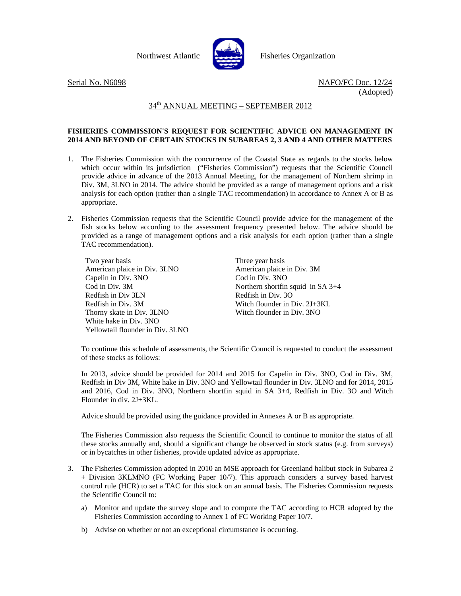

Northwest Atlantic **Report Fisheries Organization** 

Serial No. N6098 NAFO/FC Doc. 12/24 (Adopted)

## 34th ANNUAL MEETING – SEPTEMBER 2012

## **FISHERIES COMMISSION'S REQUEST FOR SCIENTIFIC ADVICE ON MANAGEMENT IN 2014 AND BEYOND OF CERTAIN STOCKS IN SUBAREAS 2, 3 AND 4 AND OTHER MATTERS**

- 1. The Fisheries Commission with the concurrence of the Coastal State as regards to the stocks below which occur within its jurisdiction ("Fisheries Commission") requests that the Scientific Council provide advice in advance of the 2013 Annual Meeting, for the management of Northern shrimp in Div. 3M, 3LNO in 2014. The advice should be provided as a range of management options and a risk analysis for each option (rather than a single TAC recommendation) in accordance to Annex A or B as appropriate.
- 2. Fisheries Commission requests that the Scientific Council provide advice for the management of the fish stocks below according to the assessment frequency presented below. The advice should be provided as a range of management options and a risk analysis for each option (rather than a single TAC recommendation).

Two year basis American plaice in Div. 3LNO Capelin in Div. 3NO Cod in Div. 3M Redfish in Div 3LN Redfish in Div. 3M Thorny skate in Div. 3LNO White hake in Div. 3NO Yellowtail flounder in Div. 3LNO Three year basis American plaice in Div. 3M Cod in Div. 3NO Northern shortfin squid in SA 3+4 Redfish in Div. 3O Witch flounder in Div. 2J+3KL Witch flounder in Div. 3NO

To continue this schedule of assessments, the Scientific Council is requested to conduct the assessment of these stocks as follows:

In 2013, advice should be provided for 2014 and 2015 for Capelin in Div. 3NO, Cod in Div. 3M, Redfish in Div 3M, White hake in Div. 3NO and Yellowtail flounder in Div. 3LNO and for 2014, 2015 and 2016, Cod in Div. 3NO, Northern shortfin squid in SA 3+4, Redfish in Div. 3O and Witch Flounder in div. 2J+3KL.

Advice should be provided using the guidance provided in Annexes A or B as appropriate.

The Fisheries Commission also requests the Scientific Council to continue to monitor the status of all these stocks annually and, should a significant change be observed in stock status (e.g. from surveys) or in bycatches in other fisheries, provide updated advice as appropriate.

- 3. The Fisheries Commission adopted in 2010 an MSE approach for Greenland halibut stock in Subarea 2 + Division 3KLMNO (FC Working Paper 10/7). This approach considers a survey based harvest control rule (HCR) to set a TAC for this stock on an annual basis. The Fisheries Commission requests the Scientific Council to:
	- a) Monitor and update the survey slope and to compute the TAC according to HCR adopted by the Fisheries Commission according to Annex 1 of FC Working Paper 10/7.
	- b) Advise on whether or not an exceptional circumstance is occurring.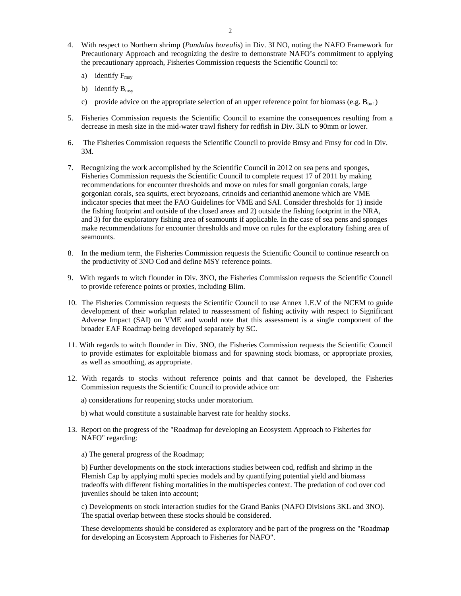- 4. With respect to Northern shrimp (*Pandalus borealis*) in Div. 3LNO, noting the NAFO Framework for Precautionary Approach and recognizing the desire to demonstrate NAFO's commitment to applying the precautionary approach, Fisheries Commission requests the Scientific Council to:
	- a) identify  $F_{\text{msv}}$
	- b) identify  $B_{\text{msv}}$
	- c) provide advice on the appropriate selection of an upper reference point for biomass (e.g.  $B_{\text{buf}}$ )
- 5. Fisheries Commission requests the Scientific Council to examine the consequences resulting from a decrease in mesh size in the mid-water trawl fishery for redfish in Div. 3LN to 90mm or lower.
- 6. The Fisheries Commission requests the Scientific Council to provide Bmsy and Fmsy for cod in Div. 3M.
- 7. Recognizing the work accomplished by the Scientific Council in 2012 on sea pens and sponges, Fisheries Commission requests the Scientific Council to complete request 17 of 2011 by making recommendations for encounter thresholds and move on rules for small gorgonian corals, large gorgonian corals, sea squirts, erect bryozoans, crinoids and cerianthid anemone which are VME indicator species that meet the FAO Guidelines for VME and SAI. Consider thresholds for 1) inside the fishing footprint and outside of the closed areas and 2) outside the fishing footprint in the NRA, and 3) for the exploratory fishing area of seamounts if applicable. In the case of sea pens and sponges make recommendations for encounter thresholds and move on rules for the exploratory fishing area of seamounts.
- 8. In the medium term, the Fisheries Commission requests the Scientific Council to continue research on the productivity of 3NO Cod and define MSY reference points.
- 9. With regards to witch flounder in Div. 3NO, the Fisheries Commission requests the Scientific Council to provide reference points or proxies, including Blim.
- 10. The Fisheries Commission requests the Scientific Council to use Annex 1.E.V of the NCEM to guide development of their workplan related to reassessment of fishing activity with respect to Significant Adverse Impact (SAI) on VME and would note that this assessment is a single component of the broader EAF Roadmap being developed separately by SC.
- 11. With regards to witch flounder in Div. 3NO, the Fisheries Commission requests the Scientific Council to provide estimates for exploitable biomass and for spawning stock biomass, or appropriate proxies, as well as smoothing, as appropriate.
- 12. With regards to stocks without reference points and that cannot be developed, the Fisheries Commission requests the Scientific Council to provide advice on:
	- a) considerations for reopening stocks under moratorium.
	- b) what would constitute a sustainable harvest rate for healthy stocks.
- 13. Report on the progress of the "Roadmap for developing an Ecosystem Approach to Fisheries for NAFO" regarding:
	- a) The general progress of the Roadmap;

 b) Further developments on the stock interactions studies between cod, redfish and shrimp in the Flemish Cap by applying multi species models and by quantifying potential yield and biomass tradeoffs with different fishing mortalities in the multispecies context. The predation of cod over cod juveniles should be taken into account;

 c) Developments on stock interaction studies for the Grand Banks (NAFO Divisions 3KL and 3NO). The spatial overlap between these stocks should be considered.

These developments should be considered as exploratory and be part of the progress on the "Roadmap for developing an Ecosystem Approach to Fisheries for NAFO".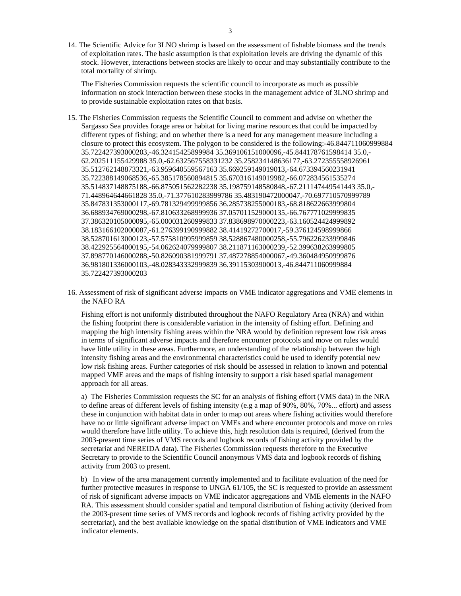14. The Scientific Advice for 3LNO shrimp is based on the assessment of fishable biomass and the trends of exploitation rates. The basic assumption is that exploitation levels are driving the dynamic of this stock. However, interactions between stocks are likely to occur and may substantially contribute to the total mortality of shrimp.

The Fisheries Commission requests the scientific council to incorporate as much as possible information on stock interaction between these stocks in the management advice of 3LNO shrimp and to provide sustainable exploitation rates on that basis.

- 15. The Fisheries Commission requests the Scientific Council to comment and advise on whether the Sargasso Sea provides forage area or habitat for living marine resources that could be impacted by different types of fishing; and on whether there is a need for any management measure including a closure to protect this ecosystem. The polygon to be considered is the following:-46.844711060999884 35.722427393000203,-46.32415425899984 35.369106151000096,-45.844178761598414 35.0,- 62.202511155429988 35.0,-62.632567558331232 35.258234148636177,-63.272355558926961 35.512762148873321,-63.959640559567163 35.669259149019013,-64.673394560231941 35.722388149068536,-65.385178560894815 35.670316149019982,-66.072834561535274 35.514837148875188,-66.875051562282238 35.198759148580848,-67.211147449541443 35.0,- 71.448964644661828 35.0,-71.377610283999786 35.483190472000047,-70.697710570999789 35.847831353000117,-69.781329499999856 36.285738255000183,-68.818622663999804 36.688934769000298,-67.810633268999936 37.057011529000135,-66.767771029999835 37.386320105000095,-65.000031260999833 37.838698970000223,-63.160524424999892 38.183166102000087,-61.276399190999882 38.41419272700017,-59.376124598999866 38.528701613000123,-57.575810995999859 38.528867480000258,-55.796226233999846 38.422925564000195,-54.062624079999807 38.211871163000239,-52.399638263999805 37.898770146000288,-50.826090381999791 37.487278854000067,-49.360484950999876 36.981801336000103,-48.028343332999839 36.39115303900013,-46.844711060999884 35.722427393000203
- 16. Assessment of risk of significant adverse impacts on VME indicator aggregations and VME elements in the NAFO RA

Fishing effort is not uniformly distributed throughout the NAFO Regulatory Area (NRA) and within the fishing footprint there is considerable variation in the intensity of fishing effort. Defining and mapping the high intensity fishing areas within the NRA would by definition represent low risk areas in terms of significant adverse impacts and therefore encounter protocols and move on rules would have little utility in these areas. Furthermore, an understanding of the relationship between the high intensity fishing areas and the environmental characteristics could be used to identify potential new low risk fishing areas. Further categories of risk should be assessed in relation to known and potential mapped VME areas and the maps of fishing intensity to support a risk based spatial management approach for all areas.

a) The Fisheries Commission requests the SC for an analysis of fishing effort (VMS data) in the NRA to define areas of different levels of fishing intensity (e.g a map of 90%, 80%, 70%... effort) and assess these in conjunction with habitat data in order to map out areas where fishing activities would therefore have no or little significant adverse impact on VMEs and where encounter protocols and move on rules would therefore have little utility. To achieve this, high resolution data is required, (derived from the 2003-present time series of VMS records and logbook records of fishing activity provided by the secretariat and NEREIDA data). The Fisheries Commission requests therefore to the Executive Secretary to provide to the Scientific Council anonymous VMS data and logbook records of fishing activity from 2003 to present.

 b) In view of the area management currently implemented and to facilitate evaluation of the need for further protective measures in response to UNGA 61/105, the SC is requested to provide an assessment of risk of significant adverse impacts on VME indicator aggregations and VME elements in the NAFO RA. This assessment should consider spatial and temporal distribution of fishing activity (derived from the 2003-present time series of VMS records and logbook records of fishing activity provided by the secretariat), and the best available knowledge on the spatial distribution of VME indicators and VME indicator elements.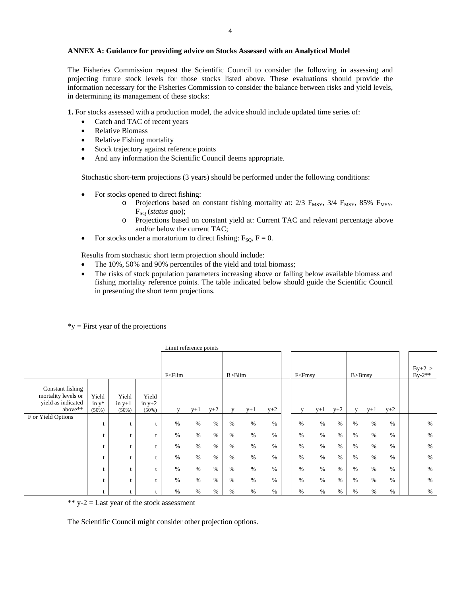## **ANNEX A: Guidance for providing advice on Stocks Assessed with an Analytical Model**

The Fisheries Commission request the Scientific Council to consider the following in assessing and projecting future stock levels for those stocks listed above. These evaluations should provide the information necessary for the Fisheries Commission to consider the balance between risks and yield levels, in determining its management of these stocks:

**1.** For stocks assessed with a production model, the advice should include updated time series of:

- Catch and TAC of recent years
- Relative Biomass
- Relative Fishing mortality
- Stock trajectory against reference points
- And any information the Scientific Council deems appropriate.

Stochastic short-term projections (3 years) should be performed under the following conditions:

- For stocks opened to direct fishing:
	- o Projections based on constant fishing mortality at:  $2/3$  F<sub>MSY</sub>,  $3/4$  F<sub>MSY</sub>,  $85\%$  F<sub>MSY</sub>, F<sub>SO</sub> (*status quo*);
	- o Projections based on constant yield at: Current TAC and relevant percentage above and/or below the current TAC;
- For stocks under a moratorium to direct fishing:  $F_{\text{SO}}$ ,  $F = 0$ .

Results from stochastic short term projection should include:

- The 10%, 50% and 90% percentiles of the yield and total biomass;
- The risks of stock population parameters increasing above or falling below available biomass and fishing mortality reference points. The table indicated below should guide the Scientific Council in presenting the short term projections.

|                                                                          |                                                                                                                                                                                                                     |                               |                               | Limit reference points |       |       |      |              |       |  |              |       |       |      |                      |       |  |      |
|--------------------------------------------------------------------------|---------------------------------------------------------------------------------------------------------------------------------------------------------------------------------------------------------------------|-------------------------------|-------------------------------|------------------------|-------|-------|------|--------------|-------|--|--------------|-------|-------|------|----------------------|-------|--|------|
|                                                                          | F <flim< td=""><td colspan="4">B &gt; Blim</td><td colspan="3"><math>F&lt;</math>F<math>msv</math></td><td colspan="4"><math>B &gt; B</math>msy</td><td><math>By+2 &gt;</math><br/><math>By-2**</math></td></flim<> |                               |                               | B > Blim               |       |       |      | $F<$ F $msv$ |       |  | $B > B$ msy  |       |       |      | $By+2 >$<br>$By-2**$ |       |  |      |
| Constant fishing<br>mortality levels or<br>yield as indicated<br>above** | Yield<br>in $y^*$<br>$(50\%)$                                                                                                                                                                                       | Yield<br>in $y+1$<br>$(50\%)$ | Yield<br>in $y+2$<br>$(50\%)$ |                        | $y+1$ | $y+2$ |      | $v+1$        | $y+2$ |  | $\mathbf{V}$ | $y+1$ | $y+2$ |      | $y+1$                | $y+2$ |  |      |
| F or Yield Options                                                       |                                                                                                                                                                                                                     |                               |                               |                        |       |       |      |              |       |  |              |       |       |      |                      |       |  |      |
|                                                                          |                                                                                                                                                                                                                     |                               |                               | %                      | $\%$  | $\%$  | $\%$ | $\%$         | $\%$  |  | $\%$         | $\%$  | $\%$  | $\%$ | $\%$                 | $\%$  |  | $\%$ |
|                                                                          |                                                                                                                                                                                                                     |                               |                               | $\%$                   | $\%$  | $\%$  | $\%$ | $\%$         | $\%$  |  | $\%$         | $\%$  | $\%$  | $\%$ | $\%$                 | $\%$  |  | $\%$ |
|                                                                          |                                                                                                                                                                                                                     |                               |                               | $\%$                   | $\%$  | $\%$  | $\%$ | $\%$         | $\%$  |  | $\%$         | %     | $\%$  | $\%$ | $\%$                 | $\%$  |  | $\%$ |
|                                                                          |                                                                                                                                                                                                                     |                               |                               | $\%$                   | $\%$  | $\%$  | $\%$ | $\%$         | $\%$  |  | $\%$         | $\%$  | $\%$  | $\%$ | $\%$                 | $\%$  |  | $\%$ |
|                                                                          |                                                                                                                                                                                                                     |                               |                               | $\%$                   | $\%$  | $\%$  | $\%$ | $\%$         | $\%$  |  | $\%$         | $\%$  | $\%$  | $\%$ | $\%$                 | $\%$  |  | $\%$ |
|                                                                          | t                                                                                                                                                                                                                   |                               |                               | $\%$                   | $\%$  | $\%$  | $\%$ | $\%$         | $\%$  |  | $\%$         | $\%$  | $\%$  | $\%$ | $\%$                 | $\%$  |  | $\%$ |
|                                                                          |                                                                                                                                                                                                                     |                               |                               | $\%$                   | %     | $\%$  | $\%$ | %            | $\%$  |  | $\%$         | %     | $\%$  | $\%$ | $\%$                 | $\%$  |  | $\%$ |

 $*$ y = First year of the projections

\*\*  $y-2$  = Last year of the stock assessment

The Scientific Council might consider other projection options.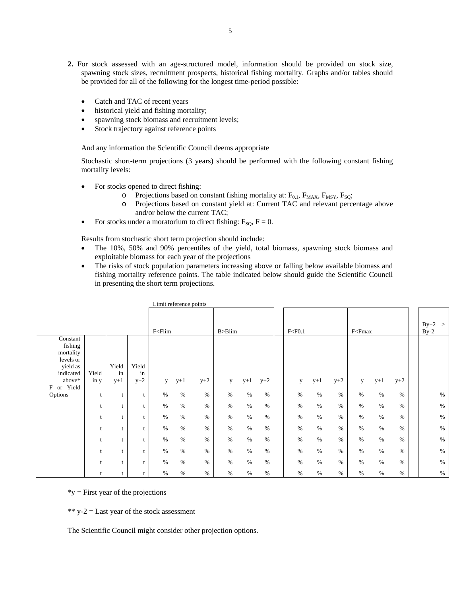- **2.** For stock assessed with an age-structured model, information should be provided on stock size, spawning stock sizes, recruitment prospects, historical fishing mortality. Graphs and/or tables should be provided for all of the following for the longest time-period possible:
	- Catch and TAC of recent years
	- historical yield and fishing mortality;
	- spawning stock biomass and recruitment levels;
	- Stock trajectory against reference points

And any information the Scientific Council deems appropriate

Stochastic short-term projections (3 years) should be performed with the following constant fishing mortality levels:

- For stocks opened to direct fishing:
	- $\circ$  Projections based on constant fishing mortality at: F<sub>0.1</sub>, F<sub>MAX</sub>, F<sub>MSY</sub>, F<sub>SQ</sub>;
	- Projections based on constant yield at: Current TAC and relevant percentage above and/or below the current TAC;
- For stocks under a moratorium to direct fishing:  $F_{\text{SO}}$ ,  $F = 0$ .

Results from stochastic short term projection should include:

- The 10%, 50% and 90% percentiles of the yield, total biomass, spawning stock biomass and exploitable biomass for each year of the projections
- The risks of stock population parameters increasing above or falling below available biomass and fishing mortality reference points. The table indicated below should guide the Scientific Council in presenting the short term projections.

|                                                                                  |               |                      |                      |                                                                                                                                                                                                                             | Limit reference points |       |              |       |       |          |       |       |                                                                                                |       |       |                    |
|----------------------------------------------------------------------------------|---------------|----------------------|----------------------|-----------------------------------------------------------------------------------------------------------------------------------------------------------------------------------------------------------------------------|------------------------|-------|--------------|-------|-------|----------|-------|-------|------------------------------------------------------------------------------------------------|-------|-------|--------------------|
|                                                                                  |               |                      |                      | F <flim< td=""><td></td><td></td><td>B &gt; Blim</td><td></td><td></td><td>F &lt; F0.1</td><td></td><td></td><td>F<fmax< td=""><td></td><td></td><td><math>By+2 &gt;</math><br/><math>By-2</math></td></fmax<></td></flim<> |                        |       | B > Blim     |       |       | F < F0.1 |       |       | F <fmax< td=""><td></td><td></td><td><math>By+2 &gt;</math><br/><math>By-2</math></td></fmax<> |       |       | $By+2 >$<br>$By-2$ |
| Constant<br>fishing<br>mortality<br>levels or<br>yield as<br>indicated<br>above* | Yield<br>in y | Yield<br>in<br>$y+1$ | Yield<br>in<br>$y+2$ | v                                                                                                                                                                                                                           | $y+1$                  | $y+2$ | $\mathbf{V}$ | $y+1$ | $y+2$ | V        | $y+1$ | $y+2$ | $\mathbf{V}$                                                                                   | $y+1$ | $y+2$ |                    |
| F or Yield<br>Options                                                            | t             |                      |                      | $\%$                                                                                                                                                                                                                        | $\%$                   | $\%$  | $\%$         | $\%$  | $\%$  | $\%$     | $\%$  | $\%$  | $\%$                                                                                           | %     | $\%$  | $\%$               |
|                                                                                  |               |                      | t                    | $\%$                                                                                                                                                                                                                        | %                      | $\%$  | $\%$         | $\%$  | $\%$  | $\%$     | $\%$  | $\%$  | $\%$                                                                                           | $\%$  | $\%$  | $\%$               |
|                                                                                  |               |                      | t                    | $\%$                                                                                                                                                                                                                        | $\%$                   | $\%$  | $\%$         | $\%$  | $\%$  | $\%$     | $\%$  | $\%$  | $\%$                                                                                           | $\%$  | $\%$  | $\%$               |
|                                                                                  |               |                      |                      | $\%$                                                                                                                                                                                                                        | $\%$                   | $\%$  | $\%$         | $\%$  | $\%$  | $\%$     | $\%$  | $\%$  | $\%$                                                                                           | $\%$  | $\%$  | $\%$               |
|                                                                                  |               |                      |                      | $\%$                                                                                                                                                                                                                        | $\%$                   | $\%$  | $\%$         | $\%$  | $\%$  | $\%$     | $\%$  | $\%$  | $\%$                                                                                           | $\%$  | $\%$  | $\%$               |
|                                                                                  |               |                      |                      | $\%$                                                                                                                                                                                                                        | $\%$                   | $\%$  | $\%$         | $\%$  | $\%$  | $\%$     | $\%$  | $\%$  | $\%$                                                                                           | %     | $\%$  | $\%$               |
|                                                                                  |               |                      |                      | $\%$                                                                                                                                                                                                                        | $\%$                   | $\%$  | $\%$         | $\%$  | $\%$  | $\%$     | $\%$  | $\%$  | $\%$                                                                                           | $\%$  | $\%$  | $\%$               |
|                                                                                  | t             |                      |                      | $\%$                                                                                                                                                                                                                        | $\%$                   | $\%$  | $\%$         | $\%$  | $\%$  | $\%$     | $\%$  | $\%$  | $\%$                                                                                           | $\%$  | $\%$  | $\%$               |

 $*$ y = First year of the projections

\*\*  $y-2$  = Last year of the stock assessment

The Scientific Council might consider other projection options.